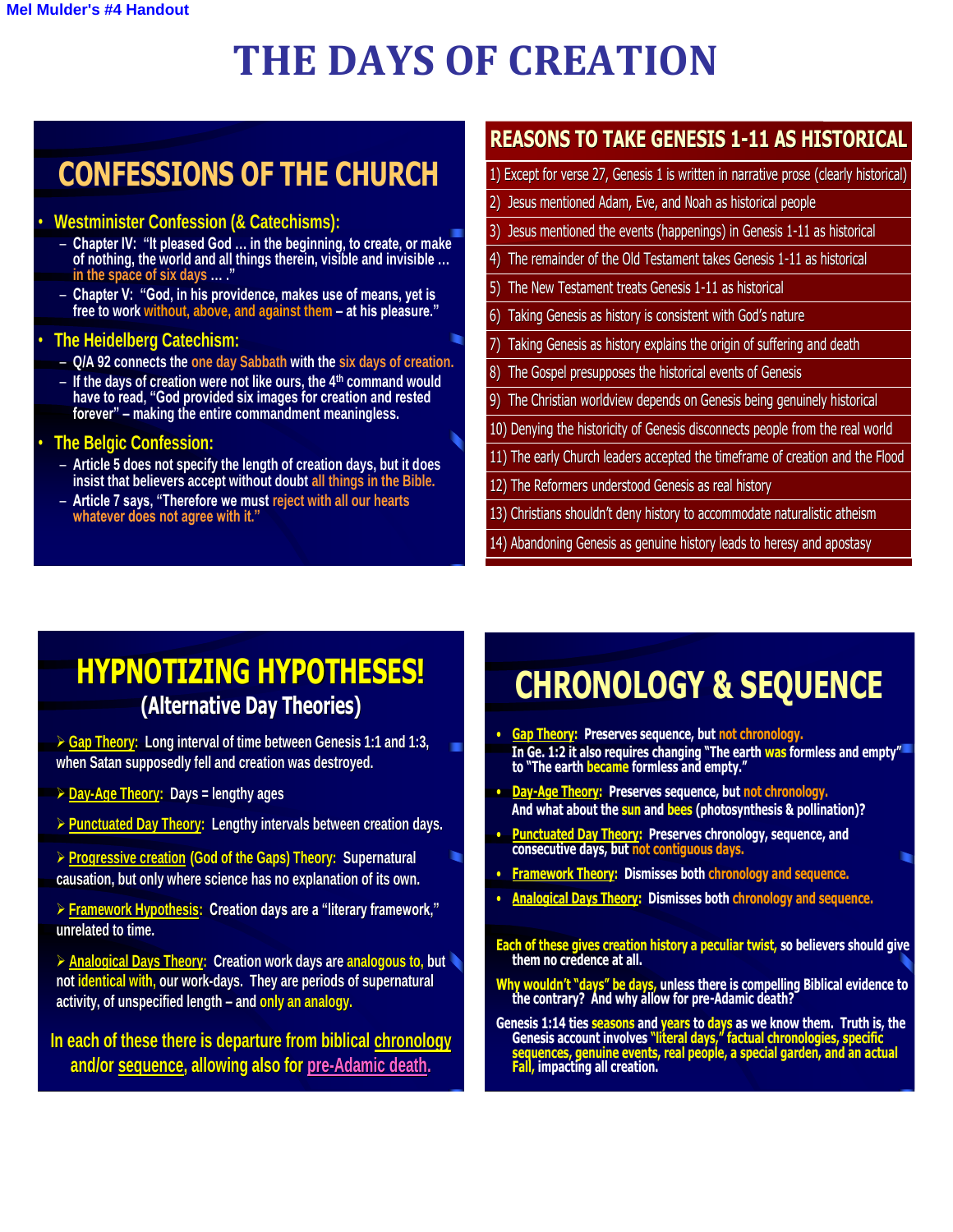# **THE DAYS OF CREATION**

 $\parallel$ 

# **CONFESSIONS OF THE CHURCH**

#### • **Westminister Confession (& Catechisms):**

- **Chapter IV: "It pleased God … in the beginning, to create, or make of nothing, the world and all things therein, visible and invisible … in the space of six days … ."**
- **Chapter V: "God, in his providence, makes use of means, yet is free to work without, above, and against them – at his pleasure."**

#### • **The Heidelberg Catechism:**

- **Q/A 92 connects the one day Sabbath with the six days of creation.**
- **If the days of creation were not like ours, the 4th command would have to read, "God provided six images for creation and rested forever" – making the entire commandment meaningless.**

### • **The Belgic Confession:**

- **Article 5 does not specify the length of creation days, but it does insist that believers accept without doubt all things in the Bible.**
- **Article 7 says, "Therefore we must reject with all our hearts whatever does not agree with it."**

### **REASONS TO TAKE GENESIS 1-11 AS HISTORICAL**

1) Except for verse 27, Genesis 1 is written in narrative prose (clearly historical)

- 2) Jesus mentioned Adam, Eve, and Noah as historical people
- 3) Jesus mentioned the events (happenings) in Genesis 1-11 as historical
- 4) The remainder of the Old Testament takes Genesis 1-11 as historical
- 5) The New Testament treats Genesis 1-11 as historical
- 6) Taking Genesis as history is consistent with God's nature
- Taking Genesis as history explains the origin of suffering and death
- 8) The Gospel presupposes the historical events of Genesis
- 9) The Christian worldview depends on Genesis being genuinely historical
- 10) Denying the historicity of Genesis disconnects people from the real world
- 11) The early Church leaders accepted the timeframe of creation and the Flood
- 12) The Reformers understood Genesis as real history
- 13) Christians shouldn't deny history to accommodate naturalistic atheism

14) Abandoning Genesis as genuine history leads to heresy and apostasy

## **HYPNOTIZING HYPOTHESES! (Alternative Day Theories)**

 **Gap Theory: Long interval of time between Genesis 1:1 and 1:3, when Satan supposedly fell and creation was destroyed.**

- **Day-Age Theory: Days = lengthy ages**
- **Punctuated Day Theory: Lengthy intervals between creation days.**

 **Progressive creation (God of the Gaps) Theory: Supernatural causation, but only where science has no explanation of its own.**

- **Framework Hypothesis: Creation days are a "literary framework," unrelated to time.**
- **Analogical Days Theory: Creation work days are analogous to, but not identical with, our work-days. They are periods of supernatural activity, of unspecified length – and only an analogy.**

**In each of these there is departure from biblical chronology and/or sequence, allowing also for pre-Adamic death.**

# **CHRONOLOGY & SEQUENCE**

- **Gap Theory: Preserves sequence, but not chronology. In Ge. 1:2 it also requires changing "The earth was formless and empty" to "The earth became formless and empty."**
- **Day-Age Theory: Preserves sequence, but not chronology. And what about the sun and bees (photosynthesis & pollination)?**
- **Punctuated Day Theory: Preserves chronology, sequence, and consecutive days, but not contiguous days.**
- **Framework Theory: Dismisses both chronology and sequence.**
- **Analogical Days Theory: Dismisses both chronology and sequence.**
- **Each of these gives creation history a peculiar twist, so believers should give them no credence at all.**
- **Why wouldn't "days" be days, unless there is compelling Biblical evidence to the contrary? And why allow for pre-Adamic death?**
- **Genesis 1:14 ties seasons and years to days as we know them. Truth is, the Genesis account involves "literal days," factual chronologies, specific sequences, genuine events, real people, a special garden, and an actual Fall, impacting all creation.**